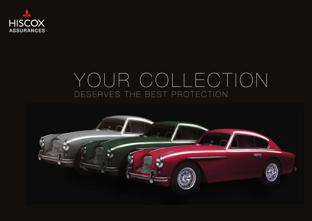

# YOUR COLLECTION DESERVES THE BEST PROTECTION

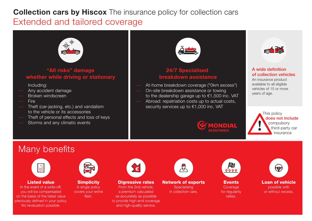## **Collection cars by Hiscox** The insurance policy for collection cars Extended and tailored coverage



#### "All risks" damage whether while driving or stationary

Including:

- –– Any accident damage
- –– Broken windscreen
- –– Fire
- –– Theft (car-jacking, etc.) and vandalism to the vehicle or its accessories
- Theft of personal effects and loss of keys
- Storms and any climatic events



### 24/7 Specialised breakdown assistance

–– At-home breakdown coverage ("0km excess") –– On-site breakdown assistance or towing to the dealership garage up to €1,500 inc. VAT Abroad: repatriation costs up to actual costs, security services up to €1,000 inc. VAT



#### A wide definition of collection vehicles

An insurance product available to all eligible vehicles of 15 or more years of age.



# Many benefits



#### Listed value

In the event of a write-off, you will be compensated on the basis of the listed value previously defined in your policy. No revaluation possible.



#### **Simplicity** A single policy covers your entire fleet.



#### **Digressive rates**

From the 2nd vehicle, a premium calculated as accurately as possible to provide high-end coverage and high-quality service.



#### Network of experts **Specialising**

in collection cars.



VONDIAL

#### **Events** Coverage for regularity rallies.



or without excess.